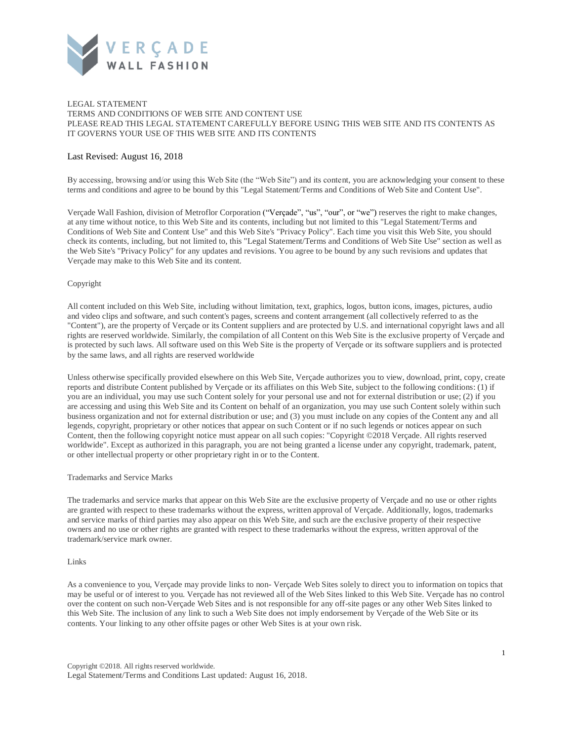

# LEGAL STATEMENT TERMS AND CONDITIONS OF WEB SITE AND CONTENT USE PLEASE READ THIS LEGAL STATEMENT CAREFULLY BEFORE USING THIS WEB SITE AND ITS CONTENTS AS IT GOVERNS YOUR USE OF THIS WEB SITE AND ITS CONTENTS

# Last Revised: August 16, 2018

By accessing, browsing and/or using this Web Site (the "Web Site") and its content, you are acknowledging your consent to these terms and conditions and agree to be bound by this "Legal Statement/Terms and Conditions of Web Site and Content Use".

Verçade Wall Fashion, division of Metroflor Corporation ("Verçade", "us", "our", or "we") reserves the right to make changes, at any time without notice, to this Web Site and its contents, including but not limited to this "Legal Statement/Terms and Conditions of Web Site and Content Use" and this Web Site's "Privacy Policy". Each time you visit this Web Site, you should check its contents, including, but not limited to, this "Legal Statement/Terms and Conditions of Web Site Use" section as well as the Web Site's "Privacy Policy" for any updates and revisions. You agree to be bound by any such revisions and updates that Verçade may make to this Web Site and its content.

## Copyright

All content included on this Web Site, including without limitation, text, graphics, logos, button icons, images, pictures, audio and video clips and software, and such content's pages, screens and content arrangement (all collectively referred to as the "Content"), are the property of Verçade or its Content suppliers and are protected by U.S. and international copyright laws and all rights are reserved worldwide. Similarly, the compilation of all Content on this Web Site is the exclusive property of Verçade and is protected by such laws. All software used on this Web Site is the property of Verçade or its software suppliers and is protected by the same laws, and all rights are reserved worldwide

Unless otherwise specifically provided elsewhere on this Web Site, Verçade authorizes you to view, download, print, copy, create reports and distribute Content published by Verçade or its affiliates on this Web Site, subject to the following conditions: (1) if you are an individual, you may use such Content solely for your personal use and not for external distribution or use; (2) if you are accessing and using this Web Site and its Content on behalf of an organization, you may use such Content solely within such business organization and not for external distribution or use; and (3) you must include on any copies of the Content any and all legends, copyright, proprietary or other notices that appear on such Content or if no such legends or notices appear on such Content, then the following copyright notice must appear on all such copies: "Copyright ©2018 Verçade. All rights reserved worldwide". Except as authorized in this paragraph, you are not being granted a license under any copyright, trademark, patent, or other intellectual property or other proprietary right in or to the Content.

### Trademarks and Service Marks

The trademarks and service marks that appear on this Web Site are the exclusive property of Verçade and no use or other rights are granted with respect to these trademarks without the express, written approval of Verçade. Additionally, logos, trademarks and service marks of third parties may also appear on this Web Site, and such are the exclusive property of their respective owners and no use or other rights are granted with respect to these trademarks without the express, written approval of the trademark/service mark owner.

#### Links

As a convenience to you, Verçade may provide links to non- Verçade Web Sites solely to direct you to information on topics that may be useful or of interest to you. Verçade has not reviewed all of the Web Sites linked to this Web Site. Verçade has no control over the content on such non-Verçade Web Sites and is not responsible for any off-site pages or any other Web Sites linked to this Web Site. The inclusion of any link to such a Web Site does not imply endorsement by Verçade of the Web Site or its contents. Your linking to any other offsite pages or other Web Sites is at your own risk.

Copyright ©2018. All rights reserved worldwide. Legal Statement/Terms and Conditions Last updated: August 16, 2018.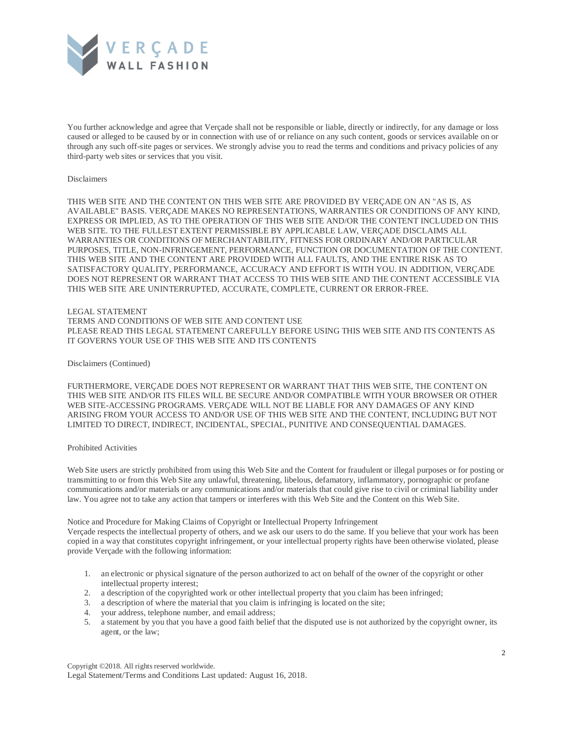

You further acknowledge and agree that Verçade shall not be responsible or liable, directly or indirectly, for any damage or loss caused or alleged to be caused by or in connection with use of or reliance on any such content, goods or services available on or through any such off-site pages or services. We strongly advise you to read the terms and conditions and privacy policies of any third-party web sites or services that you visit.

## Disclaimers

THIS WEB SITE AND THE CONTENT ON THIS WEB SITE ARE PROVIDED BY VERÇADE ON AN "AS IS, AS AVAILABLE" BASIS. VERÇADE MAKES NO REPRESENTATIONS, WARRANTIES OR CONDITIONS OF ANY KIND, EXPRESS OR IMPLIED, AS TO THE OPERATION OF THIS WEB SITE AND/OR THE CONTENT INCLUDED ON THIS WEB SITE. TO THE FULLEST EXTENT PERMISSIBLE BY APPLICABLE LAW, VERÇADE DISCLAIMS ALL WARRANTIES OR CONDITIONS OF MERCHANTABILITY, FITNESS FOR ORDINARY AND/OR PARTICULAR PURPOSES, TITLE, NON-INFRINGEMENT, PERFORMANCE, FUNCTION OR DOCUMENTATION OF THE CONTENT. THIS WEB SITE AND THE CONTENT ARE PROVIDED WITH ALL FAULTS, AND THE ENTIRE RISK AS TO SATISFACTORY QUALITY, PERFORMANCE, ACCURACY AND EFFORT IS WITH YOU. IN ADDITION, VERÇADE DOES NOT REPRESENT OR WARRANT THAT ACCESS TO THIS WEB SITE AND THE CONTENT ACCESSIBLE VIA THIS WEB SITE ARE UNINTERRUPTED, ACCURATE, COMPLETE, CURRENT OR ERROR-FREE.

### LEGAL STATEMENT

TERMS AND CONDITIONS OF WEB SITE AND CONTENT USE

PLEASE READ THIS LEGAL STATEMENT CAREFULLY BEFORE USING THIS WEB SITE AND ITS CONTENTS AS IT GOVERNS YOUR USE OF THIS WEB SITE AND ITS CONTENTS

#### Disclaimers (Continued)

FURTHERMORE, VERÇADE DOES NOT REPRESENT OR WARRANT THAT THIS WEB SITE, THE CONTENT ON THIS WEB SITE AND/OR ITS FILES WILL BE SECURE AND/OR COMPATIBLE WITH YOUR BROWSER OR OTHER WEB SITE-ACCESSING PROGRAMS. VERÇADE WILL NOT BE LIABLE FOR ANY DAMAGES OF ANY KIND ARISING FROM YOUR ACCESS TO AND/OR USE OF THIS WEB SITE AND THE CONTENT, INCLUDING BUT NOT LIMITED TO DIRECT, INDIRECT, INCIDENTAL, SPECIAL, PUNITIVE AND CONSEQUENTIAL DAMAGES.

## Prohibited Activities

Web Site users are strictly prohibited from using this Web Site and the Content for fraudulent or illegal purposes or for posting or transmitting to or from this Web Site any unlawful, threatening, libelous, defamatory, inflammatory, pornographic or profane communications and/or materials or any communications and/or materials that could give rise to civil or criminal liability under law. You agree not to take any action that tampers or interferes with this Web Site and the Content on this Web Site.

Notice and Procedure for Making Claims of Copyright or Intellectual Property Infringement

Verçade respects the intellectual property of others, and we ask our users to do the same. If you believe that your work has been copied in a way that constitutes copyright infringement, or your intellectual property rights have been otherwise violated, please provide Verçade with the following information:

- 1. an electronic or physical signature of the person authorized to act on behalf of the owner of the copyright or other intellectual property interest;
- 2. a description of the copyrighted work or other intellectual property that you claim has been infringed;
- 3. a description of where the material that you claim is infringing is located on the site;
- 4. your address, telephone number, and email address;
- 5. a statement by you that you have a good faith belief that the disputed use is not authorized by the copyright owner, its agent, or the law;

Copyright ©2018. All rights reserved worldwide. Legal Statement/Terms and Conditions Last updated: August 16, 2018.